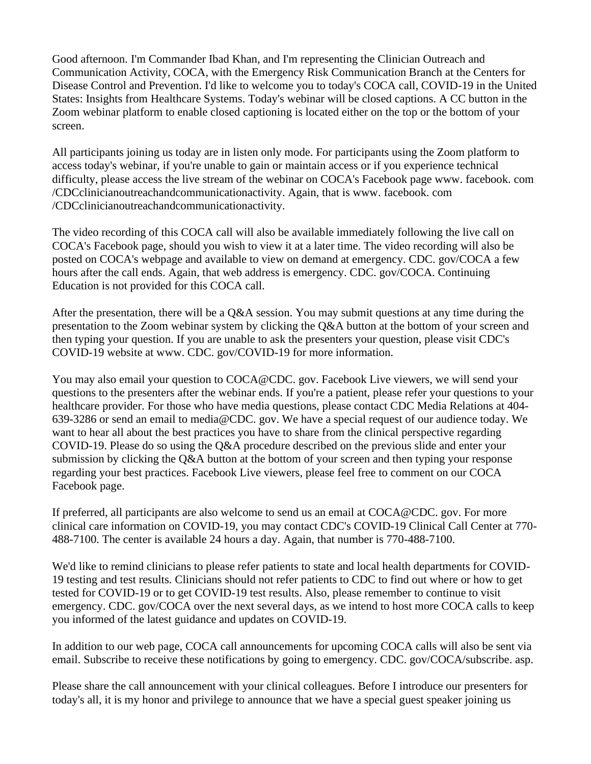Good afternoon. I'm Commander Ibad Khan, and I'm representing the Clinician Outreach and Communication Activity, COCA, with the Emergency Risk Communication Branch at the Centers for Disease Control and Prevention. I'd like to welcome you to today's COCA call, COVID-19 in the United States: Insights from Healthcare Systems. Today's webinar will be closed captions. A CC button in the Zoom webinar platform to enable closed captioning is located either on the top or the bottom of your screen.

All participants joining us today are in listen only mode. For participants using the Zoom platform to access today's webinar, if you're unable to gain or maintain access or if you experience technical difficulty, please access the live stream of the webinar on COCA's Facebook page www. facebook. com /CDCclinicianoutreachandcommunicationactivity. Again, that is www. facebook. com /CDCclinicianoutreachandcommunicationactivity.

The video recording of this COCA call will also be available immediately following the live call on COCA's Facebook page, should you wish to view it at a later time. The video recording will also be posted on COCA's webpage and available to view on demand at emergency. CDC. gov/COCA a few hours after the call ends. Again, that web address is emergency. CDC. gov/COCA. Continuing Education is not provided for this COCA call.

After the presentation, there will be a Q&A session. You may submit questions at any time during the presentation to the Zoom webinar system by clicking the Q&A button at the bottom of your screen and then typing your question. If you are unable to ask the presenters your question, please visit CDC's COVID-19 website at www. CDC. gov/COVID-19 for more information.

You may also email your question to COCA@CDC. gov. Facebook Live viewers, we will send your questions to the presenters after the webinar ends. If you're a patient, please refer your questions to your healthcare provider. For those who have media questions, please contact CDC Media Relations at 404- 639-3286 or send an email to media@CDC. gov. We have a special request of our audience today. We want to hear all about the best practices you have to share from the clinical perspective regarding COVID-19. Please do so using the Q&A procedure described on the previous slide and enter your submission by clicking the Q&A button at the bottom of your screen and then typing your response regarding your best practices. Facebook Live viewers, please feel free to comment on our COCA Facebook page.

If preferred, all participants are also welcome to send us an email at COCA@CDC. gov. For more clinical care information on COVID-19, you may contact CDC's COVID-19 Clinical Call Center at 770- 488-7100. The center is available 24 hours a day. Again, that number is 770-488-7100.

We'd like to remind clinicians to please refer patients to state and local health departments for COVID-19 testing and test results. Clinicians should not refer patients to CDC to find out where or how to get tested for COVID-19 or to get COVID-19 test results. Also, please remember to continue to visit emergency. CDC. gov/COCA over the next several days, as we intend to host more COCA calls to keep you informed of the latest guidance and updates on COVID-19.

In addition to our web page, COCA call announcements for upcoming COCA calls will also be sent via email. Subscribe to receive these notifications by going to emergency. CDC. gov/COCA/subscribe. asp.

Please share the call announcement with your clinical colleagues. Before I introduce our presenters for today's all, it is my honor and privilege to announce that we have a special guest speaker joining us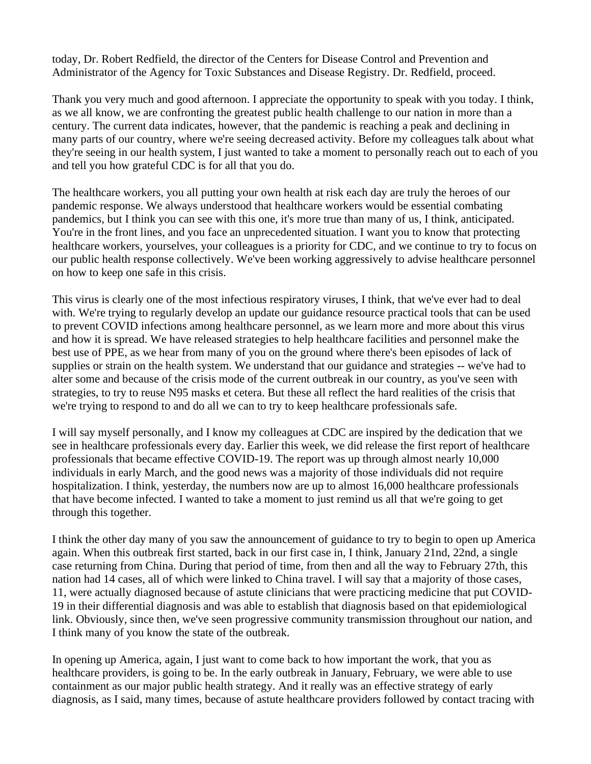today, Dr. Robert Redfield, the director of the Centers for Disease Control and Prevention and Administrator of the Agency for Toxic Substances and Disease Registry. Dr. Redfield, proceed.

Thank you very much and good afternoon. I appreciate the opportunity to speak with you today. I think, as we all know, we are confronting the greatest public health challenge to our nation in more than a century. The current data indicates, however, that the pandemic is reaching a peak and declining in many parts of our country, where we're seeing decreased activity. Before my colleagues talk about what they're seeing in our health system, I just wanted to take a moment to personally reach out to each of you and tell you how grateful CDC is for all that you do.

The healthcare workers, you all putting your own health at risk each day are truly the heroes of our pandemic response. We always understood that healthcare workers would be essential combating pandemics, but I think you can see with this one, it's more true than many of us, I think, anticipated. You're in the front lines, and you face an unprecedented situation. I want you to know that protecting healthcare workers, yourselves, your colleagues is a priority for CDC, and we continue to try to focus on our public health response collectively. We've been working aggressively to advise healthcare personnel on how to keep one safe in this crisis.

This virus is clearly one of the most infectious respiratory viruses, I think, that we've ever had to deal with. We're trying to regularly develop an update our guidance resource practical tools that can be used to prevent COVID infections among healthcare personnel, as we learn more and more about this virus and how it is spread. We have released strategies to help healthcare facilities and personnel make the best use of PPE, as we hear from many of you on the ground where there's been episodes of lack of supplies or strain on the health system. We understand that our guidance and strategies -- we've had to alter some and because of the crisis mode of the current outbreak in our country, as you've seen with strategies, to try to reuse N95 masks et cetera. But these all reflect the hard realities of the crisis that we're trying to respond to and do all we can to try to keep healthcare professionals safe.

I will say myself personally, and I know my colleagues at CDC are inspired by the dedication that we see in healthcare professionals every day. Earlier this week, we did release the first report of healthcare professionals that became effective COVID-19. The report was up through almost nearly 10,000 individuals in early March, and the good news was a majority of those individuals did not require hospitalization. I think, yesterday, the numbers now are up to almost 16,000 healthcare professionals that have become infected. I wanted to take a moment to just remind us all that we're going to get through this together.

I think the other day many of you saw the announcement of guidance to try to begin to open up America again. When this outbreak first started, back in our first case in, I think, January 21nd, 22nd, a single case returning from China. During that period of time, from then and all the way to February 27th, this nation had 14 cases, all of which were linked to China travel. I will say that a majority of those cases, 11, were actually diagnosed because of astute clinicians that were practicing medicine that put COVID-19 in their differential diagnosis and was able to establish that diagnosis based on that epidemiological link. Obviously, since then, we've seen progressive community transmission throughout our nation, and I think many of you know the state of the outbreak.

In opening up America, again, I just want to come back to how important the work, that you as healthcare providers, is going to be. In the early outbreak in January, February, we were able to use containment as our major public health strategy. And it really was an effective strategy of early diagnosis, as I said, many times, because of astute healthcare providers followed by contact tracing with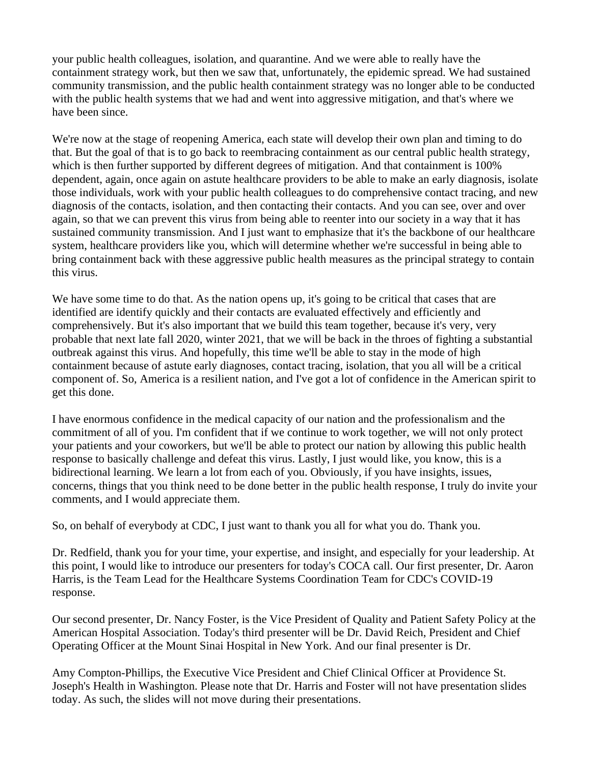your public health colleagues, isolation, and quarantine. And we were able to really have the containment strategy work, but then we saw that, unfortunately, the epidemic spread. We had sustained community transmission, and the public health containment strategy was no longer able to be conducted with the public health systems that we had and went into aggressive mitigation, and that's where we have been since.

We're now at the stage of reopening America, each state will develop their own plan and timing to do that. But the goal of that is to go back to reembracing containment as our central public health strategy, which is then further supported by different degrees of mitigation. And that containment is 100% dependent, again, once again on astute healthcare providers to be able to make an early diagnosis, isolate those individuals, work with your public health colleagues to do comprehensive contact tracing, and new diagnosis of the contacts, isolation, and then contacting their contacts. And you can see, over and over again, so that we can prevent this virus from being able to reenter into our society in a way that it has sustained community transmission. And I just want to emphasize that it's the backbone of our healthcare system, healthcare providers like you, which will determine whether we're successful in being able to bring containment back with these aggressive public health measures as the principal strategy to contain this virus.

We have some time to do that. As the nation opens up, it's going to be critical that cases that are identified are identify quickly and their contacts are evaluated effectively and efficiently and comprehensively. But it's also important that we build this team together, because it's very, very probable that next late fall 2020, winter 2021, that we will be back in the throes of fighting a substantial outbreak against this virus. And hopefully, this time we'll be able to stay in the mode of high containment because of astute early diagnoses, contact tracing, isolation, that you all will be a critical component of. So, America is a resilient nation, and I've got a lot of confidence in the American spirit to get this done.

I have enormous confidence in the medical capacity of our nation and the professionalism and the commitment of all of you. I'm confident that if we continue to work together, we will not only protect your patients and your coworkers, but we'll be able to protect our nation by allowing this public health response to basically challenge and defeat this virus. Lastly, I just would like, you know, this is a bidirectional learning. We learn a lot from each of you. Obviously, if you have insights, issues, concerns, things that you think need to be done better in the public health response, I truly do invite your comments, and I would appreciate them.

So, on behalf of everybody at CDC, I just want to thank you all for what you do. Thank you.

Dr. Redfield, thank you for your time, your expertise, and insight, and especially for your leadership. At this point, I would like to introduce our presenters for today's COCA call. Our first presenter, Dr. Aaron Harris, is the Team Lead for the Healthcare Systems Coordination Team for CDC's COVID-19 response.

Our second presenter, Dr. Nancy Foster, is the Vice President of Quality and Patient Safety Policy at the American Hospital Association. Today's third presenter will be Dr. David Reich, President and Chief Operating Officer at the Mount Sinai Hospital in New York. And our final presenter is Dr.

Amy Compton-Phillips, the Executive Vice President and Chief Clinical Officer at Providence St. Joseph's Health in Washington. Please note that Dr. Harris and Foster will not have presentation slides today. As such, the slides will not move during their presentations.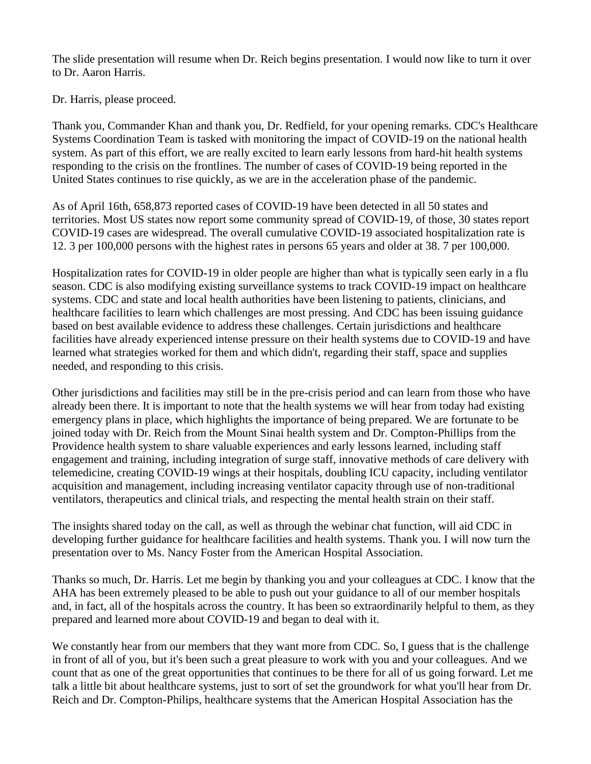The slide presentation will resume when Dr. Reich begins presentation. I would now like to turn it over to Dr. Aaron Harris.

Dr. Harris, please proceed.

Thank you, Commander Khan and thank you, Dr. Redfield, for your opening remarks. CDC's Healthcare Systems Coordination Team is tasked with monitoring the impact of COVID-19 on the national health system. As part of this effort, we are really excited to learn early lessons from hard-hit health systems responding to the crisis on the frontlines. The number of cases of COVID-19 being reported in the United States continues to rise quickly, as we are in the acceleration phase of the pandemic.

As of April 16th, 658,873 reported cases of COVID-19 have been detected in all 50 states and territories. Most US states now report some community spread of COVID-19, of those, 30 states report COVID-19 cases are widespread. The overall cumulative COVID-19 associated hospitalization rate is 12. 3 per 100,000 persons with the highest rates in persons 65 years and older at 38. 7 per 100,000.

Hospitalization rates for COVID-19 in older people are higher than what is typically seen early in a flu season. CDC is also modifying existing surveillance systems to track COVID-19 impact on healthcare systems. CDC and state and local health authorities have been listening to patients, clinicians, and healthcare facilities to learn which challenges are most pressing. And CDC has been issuing guidance based on best available evidence to address these challenges. Certain jurisdictions and healthcare facilities have already experienced intense pressure on their health systems due to COVID-19 and have learned what strategies worked for them and which didn't, regarding their staff, space and supplies needed, and responding to this crisis.

Other jurisdictions and facilities may still be in the pre-crisis period and can learn from those who have already been there. It is important to note that the health systems we will hear from today had existing emergency plans in place, which highlights the importance of being prepared. We are fortunate to be joined today with Dr. Reich from the Mount Sinai health system and Dr. Compton-Phillips from the Providence health system to share valuable experiences and early lessons learned, including staff engagement and training, including integration of surge staff, innovative methods of care delivery with telemedicine, creating COVID-19 wings at their hospitals, doubling ICU capacity, including ventilator acquisition and management, including increasing ventilator capacity through use of non-traditional ventilators, therapeutics and clinical trials, and respecting the mental health strain on their staff.

The insights shared today on the call, as well as through the webinar chat function, will aid CDC in developing further guidance for healthcare facilities and health systems. Thank you. I will now turn the presentation over to Ms. Nancy Foster from the American Hospital Association.

Thanks so much, Dr. Harris. Let me begin by thanking you and your colleagues at CDC. I know that the AHA has been extremely pleased to be able to push out your guidance to all of our member hospitals and, in fact, all of the hospitals across the country. It has been so extraordinarily helpful to them, as they prepared and learned more about COVID-19 and began to deal with it.

We constantly hear from our members that they want more from CDC. So, I guess that is the challenge in front of all of you, but it's been such a great pleasure to work with you and your colleagues. And we count that as one of the great opportunities that continues to be there for all of us going forward. Let me talk a little bit about healthcare systems, just to sort of set the groundwork for what you'll hear from Dr. Reich and Dr. Compton-Philips, healthcare systems that the American Hospital Association has the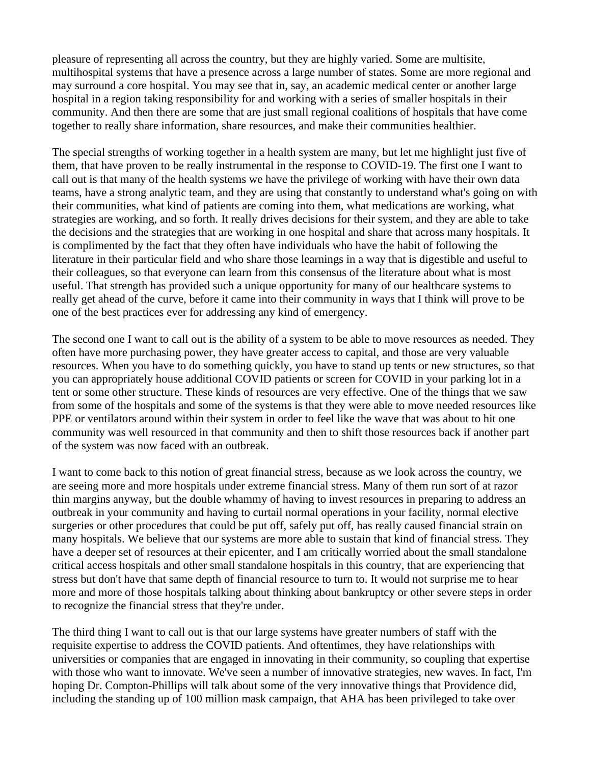pleasure of representing all across the country, but they are highly varied. Some are multisite, multihospital systems that have a presence across a large number of states. Some are more regional and may surround a core hospital. You may see that in, say, an academic medical center or another large hospital in a region taking responsibility for and working with a series of smaller hospitals in their community. And then there are some that are just small regional coalitions of hospitals that have come together to really share information, share resources, and make their communities healthier.

The special strengths of working together in a health system are many, but let me highlight just five of them, that have proven to be really instrumental in the response to COVID-19. The first one I want to call out is that many of the health systems we have the privilege of working with have their own data teams, have a strong analytic team, and they are using that constantly to understand what's going on with their communities, what kind of patients are coming into them, what medications are working, what strategies are working, and so forth. It really drives decisions for their system, and they are able to take the decisions and the strategies that are working in one hospital and share that across many hospitals. It is complimented by the fact that they often have individuals who have the habit of following the literature in their particular field and who share those learnings in a way that is digestible and useful to their colleagues, so that everyone can learn from this consensus of the literature about what is most useful. That strength has provided such a unique opportunity for many of our healthcare systems to really get ahead of the curve, before it came into their community in ways that I think will prove to be one of the best practices ever for addressing any kind of emergency.

The second one I want to call out is the ability of a system to be able to move resources as needed. They often have more purchasing power, they have greater access to capital, and those are very valuable resources. When you have to do something quickly, you have to stand up tents or new structures, so that you can appropriately house additional COVID patients or screen for COVID in your parking lot in a tent or some other structure. These kinds of resources are very effective. One of the things that we saw from some of the hospitals and some of the systems is that they were able to move needed resources like PPE or ventilators around within their system in order to feel like the wave that was about to hit one community was well resourced in that community and then to shift those resources back if another part of the system was now faced with an outbreak.

I want to come back to this notion of great financial stress, because as we look across the country, we are seeing more and more hospitals under extreme financial stress. Many of them run sort of at razor thin margins anyway, but the double whammy of having to invest resources in preparing to address an outbreak in your community and having to curtail normal operations in your facility, normal elective surgeries or other procedures that could be put off, safely put off, has really caused financial strain on many hospitals. We believe that our systems are more able to sustain that kind of financial stress. They have a deeper set of resources at their epicenter, and I am critically worried about the small standalone critical access hospitals and other small standalone hospitals in this country, that are experiencing that stress but don't have that same depth of financial resource to turn to. It would not surprise me to hear more and more of those hospitals talking about thinking about bankruptcy or other severe steps in order to recognize the financial stress that they're under.

The third thing I want to call out is that our large systems have greater numbers of staff with the requisite expertise to address the COVID patients. And oftentimes, they have relationships with universities or companies that are engaged in innovating in their community, so coupling that expertise with those who want to innovate. We've seen a number of innovative strategies, new waves. In fact, I'm hoping Dr. Compton-Phillips will talk about some of the very innovative things that Providence did, including the standing up of 100 million mask campaign, that AHA has been privileged to take over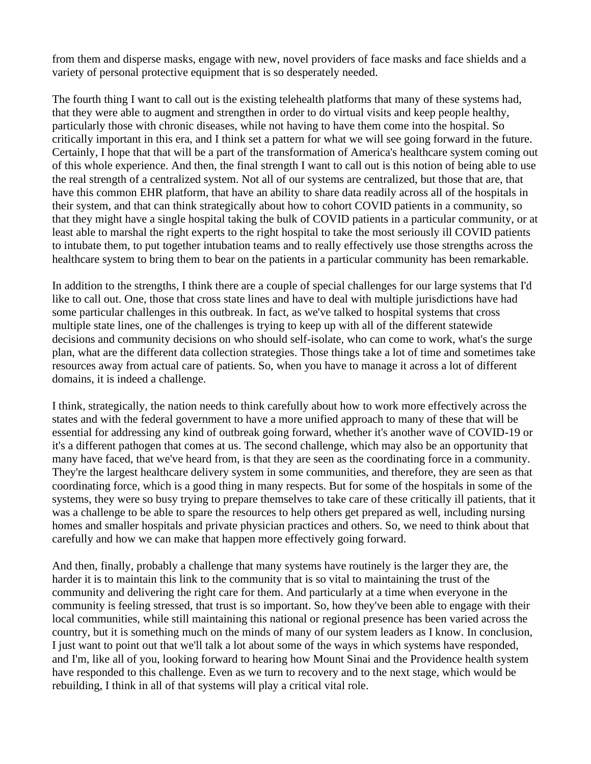from them and disperse masks, engage with new, novel providers of face masks and face shields and a variety of personal protective equipment that is so desperately needed.

The fourth thing I want to call out is the existing telehealth platforms that many of these systems had, that they were able to augment and strengthen in order to do virtual visits and keep people healthy, particularly those with chronic diseases, while not having to have them come into the hospital. So critically important in this era, and I think set a pattern for what we will see going forward in the future. Certainly, I hope that that will be a part of the transformation of America's healthcare system coming out of this whole experience. And then, the final strength I want to call out is this notion of being able to use the real strength of a centralized system. Not all of our systems are centralized, but those that are, that have this common EHR platform, that have an ability to share data readily across all of the hospitals in their system, and that can think strategically about how to cohort COVID patients in a community, so that they might have a single hospital taking the bulk of COVID patients in a particular community, or at least able to marshal the right experts to the right hospital to take the most seriously ill COVID patients to intubate them, to put together intubation teams and to really effectively use those strengths across the healthcare system to bring them to bear on the patients in a particular community has been remarkable.

In addition to the strengths, I think there are a couple of special challenges for our large systems that I'd like to call out. One, those that cross state lines and have to deal with multiple jurisdictions have had some particular challenges in this outbreak. In fact, as we've talked to hospital systems that cross multiple state lines, one of the challenges is trying to keep up with all of the different statewide decisions and community decisions on who should self-isolate, who can come to work, what's the surge plan, what are the different data collection strategies. Those things take a lot of time and sometimes take resources away from actual care of patients. So, when you have to manage it across a lot of different domains, it is indeed a challenge.

I think, strategically, the nation needs to think carefully about how to work more effectively across the states and with the federal government to have a more unified approach to many of these that will be essential for addressing any kind of outbreak going forward, whether it's another wave of COVID-19 or it's a different pathogen that comes at us. The second challenge, which may also be an opportunity that many have faced, that we've heard from, is that they are seen as the coordinating force in a community. They're the largest healthcare delivery system in some communities, and therefore, they are seen as that coordinating force, which is a good thing in many respects. But for some of the hospitals in some of the systems, they were so busy trying to prepare themselves to take care of these critically ill patients, that it was a challenge to be able to spare the resources to help others get prepared as well, including nursing homes and smaller hospitals and private physician practices and others. So, we need to think about that carefully and how we can make that happen more effectively going forward.

And then, finally, probably a challenge that many systems have routinely is the larger they are, the harder it is to maintain this link to the community that is so vital to maintaining the trust of the community and delivering the right care for them. And particularly at a time when everyone in the community is feeling stressed, that trust is so important. So, how they've been able to engage with their local communities, while still maintaining this national or regional presence has been varied across the country, but it is something much on the minds of many of our system leaders as I know. In conclusion, I just want to point out that we'll talk a lot about some of the ways in which systems have responded, and I'm, like all of you, looking forward to hearing how Mount Sinai and the Providence health system have responded to this challenge. Even as we turn to recovery and to the next stage, which would be rebuilding, I think in all of that systems will play a critical vital role.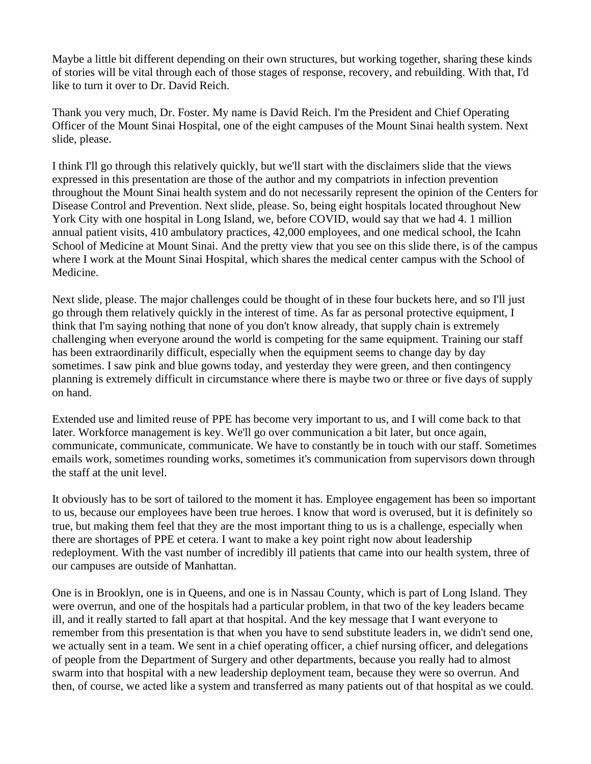Maybe a little bit different depending on their own structures, but working together, sharing these kinds of stories will be vital through each of those stages of response, recovery, and rebuilding. With that, I'd like to turn it over to Dr. David Reich.

Thank you very much, Dr. Foster. My name is David Reich. I'm the President and Chief Operating Officer of the Mount Sinai Hospital, one of the eight campuses of the Mount Sinai health system. Next slide, please.

I think I'll go through this relatively quickly, but we'll start with the disclaimers slide that the views expressed in this presentation are those of the author and my compatriots in infection prevention throughout the Mount Sinai health system and do not necessarily represent the opinion of the Centers for Disease Control and Prevention. Next slide, please. So, being eight hospitals located throughout New York City with one hospital in Long Island, we, before COVID, would say that we had 4. 1 million annual patient visits, 410 ambulatory practices, 42,000 employees, and one medical school, the Icahn School of Medicine at Mount Sinai. And the pretty view that you see on this slide there, is of the campus where I work at the Mount Sinai Hospital, which shares the medical center campus with the School of Medicine.

Next slide, please. The major challenges could be thought of in these four buckets here, and so I'll just go through them relatively quickly in the interest of time. As far as personal protective equipment, I think that I'm saying nothing that none of you don't know already, that supply chain is extremely challenging when everyone around the world is competing for the same equipment. Training our staff has been extraordinarily difficult, especially when the equipment seems to change day by day sometimes. I saw pink and blue gowns today, and yesterday they were green, and then contingency planning is extremely difficult in circumstance where there is maybe two or three or five days of supply on hand.

Extended use and limited reuse of PPE has become very important to us, and I will come back to that later. Workforce management is key. We'll go over communication a bit later, but once again, communicate, communicate, communicate. We have to constantly be in touch with our staff. Sometimes emails work, sometimes rounding works, sometimes it's communication from supervisors down through the staff at the unit level.

It obviously has to be sort of tailored to the moment it has. Employee engagement has been so important to us, because our employees have been true heroes. I know that word is overused, but it is definitely so true, but making them feel that they are the most important thing to us is a challenge, especially when there are shortages of PPE et cetera. I want to make a key point right now about leadership redeployment. With the vast number of incredibly ill patients that came into our health system, three of our campuses are outside of Manhattan.

One is in Brooklyn, one is in Queens, and one is in Nassau County, which is part of Long Island. They were overrun, and one of the hospitals had a particular problem, in that two of the key leaders became ill, and it really started to fall apart at that hospital. And the key message that I want everyone to remember from this presentation is that when you have to send substitute leaders in, we didn't send one, we actually sent in a team. We sent in a chief operating officer, a chief nursing officer, and delegations of people from the Department of Surgery and other departments, because you really had to almost swarm into that hospital with a new leadership deployment team, because they were so overrun. And then, of course, we acted like a system and transferred as many patients out of that hospital as we could.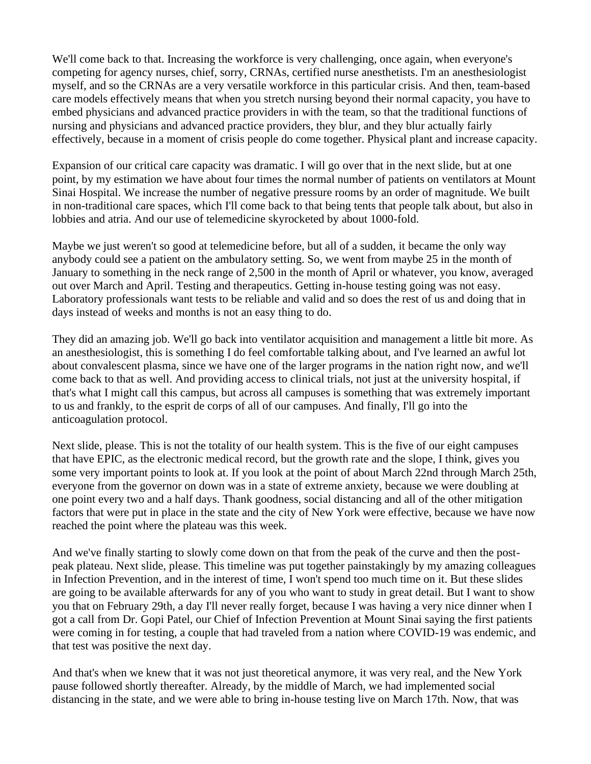We'll come back to that. Increasing the workforce is very challenging, once again, when everyone's competing for agency nurses, chief, sorry, CRNAs, certified nurse anesthetists. I'm an anesthesiologist myself, and so the CRNAs are a very versatile workforce in this particular crisis. And then, team-based care models effectively means that when you stretch nursing beyond their normal capacity, you have to embed physicians and advanced practice providers in with the team, so that the traditional functions of nursing and physicians and advanced practice providers, they blur, and they blur actually fairly effectively, because in a moment of crisis people do come together. Physical plant and increase capacity.

Expansion of our critical care capacity was dramatic. I will go over that in the next slide, but at one point, by my estimation we have about four times the normal number of patients on ventilators at Mount Sinai Hospital. We increase the number of negative pressure rooms by an order of magnitude. We built in non-traditional care spaces, which I'll come back to that being tents that people talk about, but also in lobbies and atria. And our use of telemedicine skyrocketed by about 1000-fold.

Maybe we just weren't so good at telemedicine before, but all of a sudden, it became the only way anybody could see a patient on the ambulatory setting. So, we went from maybe 25 in the month of January to something in the neck range of 2,500 in the month of April or whatever, you know, averaged out over March and April. Testing and therapeutics. Getting in-house testing going was not easy. Laboratory professionals want tests to be reliable and valid and so does the rest of us and doing that in days instead of weeks and months is not an easy thing to do.

They did an amazing job. We'll go back into ventilator acquisition and management a little bit more. As an anesthesiologist, this is something I do feel comfortable talking about, and I've learned an awful lot about convalescent plasma, since we have one of the larger programs in the nation right now, and we'll come back to that as well. And providing access to clinical trials, not just at the university hospital, if that's what I might call this campus, but across all campuses is something that was extremely important to us and frankly, to the esprit de corps of all of our campuses. And finally, I'll go into the anticoagulation protocol.

Next slide, please. This is not the totality of our health system. This is the five of our eight campuses that have EPIC, as the electronic medical record, but the growth rate and the slope, I think, gives you some very important points to look at. If you look at the point of about March 22nd through March 25th, everyone from the governor on down was in a state of extreme anxiety, because we were doubling at one point every two and a half days. Thank goodness, social distancing and all of the other mitigation factors that were put in place in the state and the city of New York were effective, because we have now reached the point where the plateau was this week.

And we've finally starting to slowly come down on that from the peak of the curve and then the postpeak plateau. Next slide, please. This timeline was put together painstakingly by my amazing colleagues in Infection Prevention, and in the interest of time, I won't spend too much time on it. But these slides are going to be available afterwards for any of you who want to study in great detail. But I want to show you that on February 29th, a day I'll never really forget, because I was having a very nice dinner when I got a call from Dr. Gopi Patel, our Chief of Infection Prevention at Mount Sinai saying the first patients were coming in for testing, a couple that had traveled from a nation where COVID-19 was endemic, and that test was positive the next day.

And that's when we knew that it was not just theoretical anymore, it was very real, and the New York pause followed shortly thereafter. Already, by the middle of March, we had implemented social distancing in the state, and we were able to bring in-house testing live on March 17th. Now, that was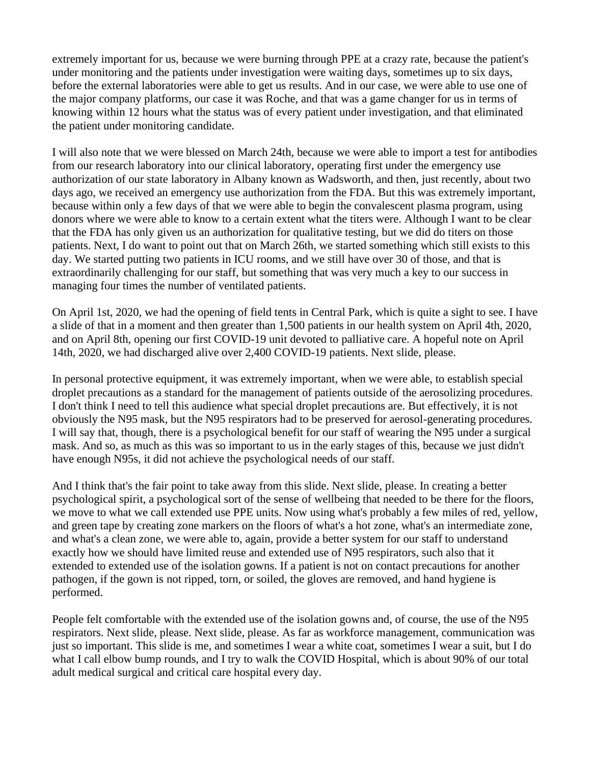extremely important for us, because we were burning through PPE at a crazy rate, because the patient's under monitoring and the patients under investigation were waiting days, sometimes up to six days, before the external laboratories were able to get us results. And in our case, we were able to use one of the major company platforms, our case it was Roche, and that was a game changer for us in terms of knowing within 12 hours what the status was of every patient under investigation, and that eliminated the patient under monitoring candidate.

I will also note that we were blessed on March 24th, because we were able to import a test for antibodies from our research laboratory into our clinical laboratory, operating first under the emergency use authorization of our state laboratory in Albany known as Wadsworth, and then, just recently, about two days ago, we received an emergency use authorization from the FDA. But this was extremely important, because within only a few days of that we were able to begin the convalescent plasma program, using donors where we were able to know to a certain extent what the titers were. Although I want to be clear that the FDA has only given us an authorization for qualitative testing, but we did do titers on those patients. Next, I do want to point out that on March 26th, we started something which still exists to this day. We started putting two patients in ICU rooms, and we still have over 30 of those, and that is extraordinarily challenging for our staff, but something that was very much a key to our success in managing four times the number of ventilated patients.

On April 1st, 2020, we had the opening of field tents in Central Park, which is quite a sight to see. I have a slide of that in a moment and then greater than 1,500 patients in our health system on April 4th, 2020, and on April 8th, opening our first COVID-19 unit devoted to palliative care. A hopeful note on April 14th, 2020, we had discharged alive over 2,400 COVID-19 patients. Next slide, please.

In personal protective equipment, it was extremely important, when we were able, to establish special droplet precautions as a standard for the management of patients outside of the aerosolizing procedures. I don't think I need to tell this audience what special droplet precautions are. But effectively, it is not obviously the N95 mask, but the N95 respirators had to be preserved for aerosol-generating procedures. I will say that, though, there is a psychological benefit for our staff of wearing the N95 under a surgical mask. And so, as much as this was so important to us in the early stages of this, because we just didn't have enough N95s, it did not achieve the psychological needs of our staff.

And I think that's the fair point to take away from this slide. Next slide, please. In creating a better psychological spirit, a psychological sort of the sense of wellbeing that needed to be there for the floors, we move to what we call extended use PPE units. Now using what's probably a few miles of red, yellow, and green tape by creating zone markers on the floors of what's a hot zone, what's an intermediate zone, and what's a clean zone, we were able to, again, provide a better system for our staff to understand exactly how we should have limited reuse and extended use of N95 respirators, such also that it extended to extended use of the isolation gowns. If a patient is not on contact precautions for another pathogen, if the gown is not ripped, torn, or soiled, the gloves are removed, and hand hygiene is performed.

People felt comfortable with the extended use of the isolation gowns and, of course, the use of the N95 respirators. Next slide, please. Next slide, please. As far as workforce management, communication was just so important. This slide is me, and sometimes I wear a white coat, sometimes I wear a suit, but I do what I call elbow bump rounds, and I try to walk the COVID Hospital, which is about 90% of our total adult medical surgical and critical care hospital every day.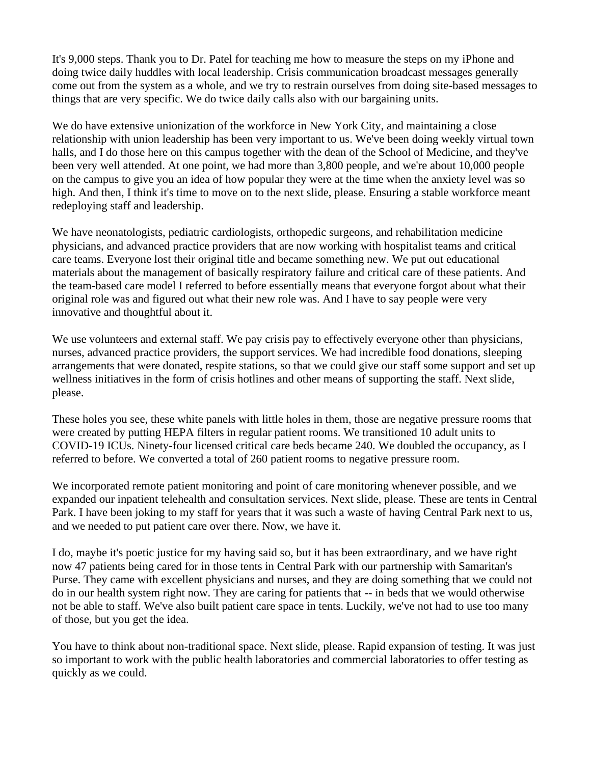It's 9,000 steps. Thank you to Dr. Patel for teaching me how to measure the steps on my iPhone and doing twice daily huddles with local leadership. Crisis communication broadcast messages generally come out from the system as a whole, and we try to restrain ourselves from doing site-based messages to things that are very specific. We do twice daily calls also with our bargaining units.

We do have extensive unionization of the workforce in New York City, and maintaining a close relationship with union leadership has been very important to us. We've been doing weekly virtual town halls, and I do those here on this campus together with the dean of the School of Medicine, and they've been very well attended. At one point, we had more than 3,800 people, and we're about 10,000 people on the campus to give you an idea of how popular they were at the time when the anxiety level was so high. And then, I think it's time to move on to the next slide, please. Ensuring a stable workforce meant redeploying staff and leadership.

We have neonatologists, pediatric cardiologists, orthopedic surgeons, and rehabilitation medicine physicians, and advanced practice providers that are now working with hospitalist teams and critical care teams. Everyone lost their original title and became something new. We put out educational materials about the management of basically respiratory failure and critical care of these patients. And the team-based care model I referred to before essentially means that everyone forgot about what their original role was and figured out what their new role was. And I have to say people were very innovative and thoughtful about it.

We use volunteers and external staff. We pay crisis pay to effectively everyone other than physicians, nurses, advanced practice providers, the support services. We had incredible food donations, sleeping arrangements that were donated, respite stations, so that we could give our staff some support and set up wellness initiatives in the form of crisis hotlines and other means of supporting the staff. Next slide, please.

These holes you see, these white panels with little holes in them, those are negative pressure rooms that were created by putting HEPA filters in regular patient rooms. We transitioned 10 adult units to COVID-19 ICUs. Ninety-four licensed critical care beds became 240. We doubled the occupancy, as I referred to before. We converted a total of 260 patient rooms to negative pressure room.

We incorporated remote patient monitoring and point of care monitoring whenever possible, and we expanded our inpatient telehealth and consultation services. Next slide, please. These are tents in Central Park. I have been joking to my staff for years that it was such a waste of having Central Park next to us, and we needed to put patient care over there. Now, we have it.

I do, maybe it's poetic justice for my having said so, but it has been extraordinary, and we have right now 47 patients being cared for in those tents in Central Park with our partnership with Samaritan's Purse. They came with excellent physicians and nurses, and they are doing something that we could not do in our health system right now. They are caring for patients that -- in beds that we would otherwise not be able to staff. We've also built patient care space in tents. Luckily, we've not had to use too many of those, but you get the idea.

You have to think about non-traditional space. Next slide, please. Rapid expansion of testing. It was just so important to work with the public health laboratories and commercial laboratories to offer testing as quickly as we could.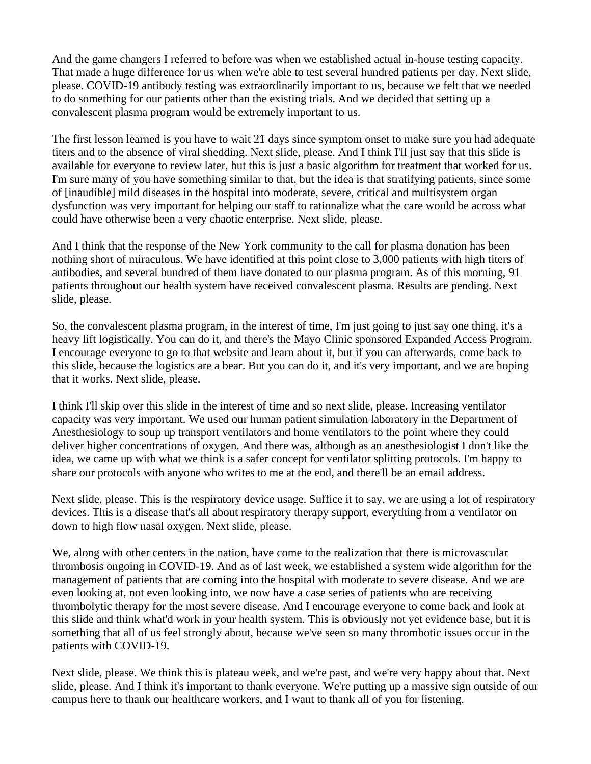And the game changers I referred to before was when we established actual in-house testing capacity. That made a huge difference for us when we're able to test several hundred patients per day. Next slide, please. COVID-19 antibody testing was extraordinarily important to us, because we felt that we needed to do something for our patients other than the existing trials. And we decided that setting up a convalescent plasma program would be extremely important to us.

The first lesson learned is you have to wait 21 days since symptom onset to make sure you had adequate titers and to the absence of viral shedding. Next slide, please. And I think I'll just say that this slide is available for everyone to review later, but this is just a basic algorithm for treatment that worked for us. I'm sure many of you have something similar to that, but the idea is that stratifying patients, since some of [inaudible] mild diseases in the hospital into moderate, severe, critical and multisystem organ dysfunction was very important for helping our staff to rationalize what the care would be across what could have otherwise been a very chaotic enterprise. Next slide, please.

And I think that the response of the New York community to the call for plasma donation has been nothing short of miraculous. We have identified at this point close to 3,000 patients with high titers of antibodies, and several hundred of them have donated to our plasma program. As of this morning, 91 patients throughout our health system have received convalescent plasma. Results are pending. Next slide, please.

So, the convalescent plasma program, in the interest of time, I'm just going to just say one thing, it's a heavy lift logistically. You can do it, and there's the Mayo Clinic sponsored Expanded Access Program. I encourage everyone to go to that website and learn about it, but if you can afterwards, come back to this slide, because the logistics are a bear. But you can do it, and it's very important, and we are hoping that it works. Next slide, please.

I think I'll skip over this slide in the interest of time and so next slide, please. Increasing ventilator capacity was very important. We used our human patient simulation laboratory in the Department of Anesthesiology to soup up transport ventilators and home ventilators to the point where they could deliver higher concentrations of oxygen. And there was, although as an anesthesiologist I don't like the idea, we came up with what we think is a safer concept for ventilator splitting protocols. I'm happy to share our protocols with anyone who writes to me at the end, and there'll be an email address.

Next slide, please. This is the respiratory device usage. Suffice it to say, we are using a lot of respiratory devices. This is a disease that's all about respiratory therapy support, everything from a ventilator on down to high flow nasal oxygen. Next slide, please.

We, along with other centers in the nation, have come to the realization that there is microvascular thrombosis ongoing in COVID-19. And as of last week, we established a system wide algorithm for the management of patients that are coming into the hospital with moderate to severe disease. And we are even looking at, not even looking into, we now have a case series of patients who are receiving thrombolytic therapy for the most severe disease. And I encourage everyone to come back and look at this slide and think what'd work in your health system. This is obviously not yet evidence base, but it is something that all of us feel strongly about, because we've seen so many thrombotic issues occur in the patients with COVID-19.

Next slide, please. We think this is plateau week, and we're past, and we're very happy about that. Next slide, please. And I think it's important to thank everyone. We're putting up a massive sign outside of our campus here to thank our healthcare workers, and I want to thank all of you for listening.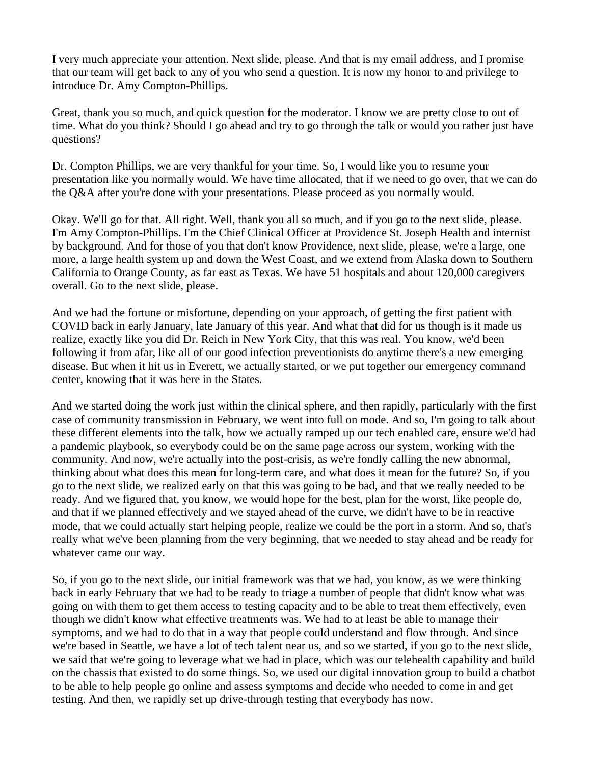I very much appreciate your attention. Next slide, please. And that is my email address, and I promise that our team will get back to any of you who send a question. It is now my honor to and privilege to introduce Dr. Amy Compton-Phillips.

Great, thank you so much, and quick question for the moderator. I know we are pretty close to out of time. What do you think? Should I go ahead and try to go through the talk or would you rather just have questions?

Dr. Compton Phillips, we are very thankful for your time. So, I would like you to resume your presentation like you normally would. We have time allocated, that if we need to go over, that we can do the O&A after you're done with your presentations. Please proceed as you normally would.

Okay. We'll go for that. All right. Well, thank you all so much, and if you go to the next slide, please. I'm Amy Compton-Phillips. I'm the Chief Clinical Officer at Providence St. Joseph Health and internist by background. And for those of you that don't know Providence, next slide, please, we're a large, one more, a large health system up and down the West Coast, and we extend from Alaska down to Southern California to Orange County, as far east as Texas. We have 51 hospitals and about 120,000 caregivers overall. Go to the next slide, please.

And we had the fortune or misfortune, depending on your approach, of getting the first patient with COVID back in early January, late January of this year. And what that did for us though is it made us realize, exactly like you did Dr. Reich in New York City, that this was real. You know, we'd been following it from afar, like all of our good infection preventionists do anytime there's a new emerging disease. But when it hit us in Everett, we actually started, or we put together our emergency command center, knowing that it was here in the States.

And we started doing the work just within the clinical sphere, and then rapidly, particularly with the first case of community transmission in February, we went into full on mode. And so, I'm going to talk about these different elements into the talk, how we actually ramped up our tech enabled care, ensure we'd had a pandemic playbook, so everybody could be on the same page across our system, working with the community. And now, we're actually into the post-crisis, as we're fondly calling the new abnormal, thinking about what does this mean for long-term care, and what does it mean for the future? So, if you go to the next slide, we realized early on that this was going to be bad, and that we really needed to be ready. And we figured that, you know, we would hope for the best, plan for the worst, like people do, and that if we planned effectively and we stayed ahead of the curve, we didn't have to be in reactive mode, that we could actually start helping people, realize we could be the port in a storm. And so, that's really what we've been planning from the very beginning, that we needed to stay ahead and be ready for whatever came our way.

So, if you go to the next slide, our initial framework was that we had, you know, as we were thinking back in early February that we had to be ready to triage a number of people that didn't know what was going on with them to get them access to testing capacity and to be able to treat them effectively, even though we didn't know what effective treatments was. We had to at least be able to manage their symptoms, and we had to do that in a way that people could understand and flow through. And since we're based in Seattle, we have a lot of tech talent near us, and so we started, if you go to the next slide, we said that we're going to leverage what we had in place, which was our telehealth capability and build on the chassis that existed to do some things. So, we used our digital innovation group to build a chatbot to be able to help people go online and assess symptoms and decide who needed to come in and get testing. And then, we rapidly set up drive-through testing that everybody has now.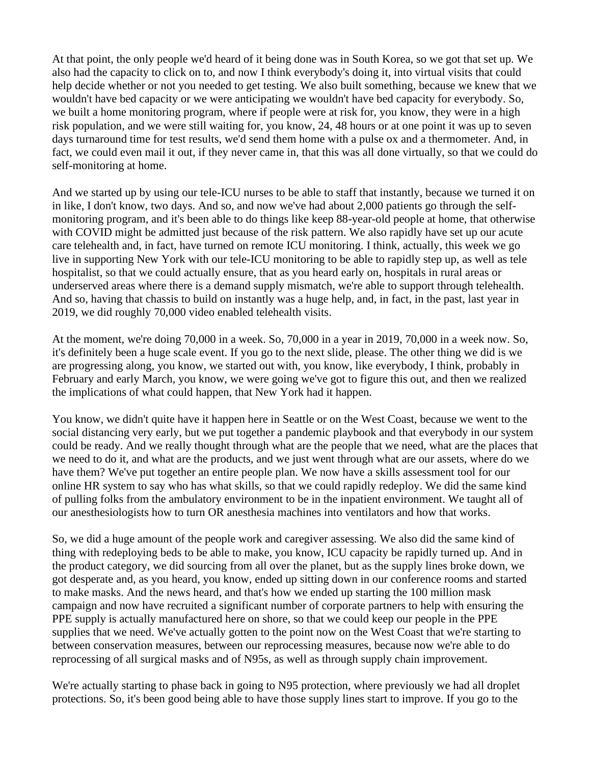At that point, the only people we'd heard of it being done was in South Korea, so we got that set up. We also had the capacity to click on to, and now I think everybody's doing it, into virtual visits that could help decide whether or not you needed to get testing. We also built something, because we knew that we wouldn't have bed capacity or we were anticipating we wouldn't have bed capacity for everybody. So, we built a home monitoring program, where if people were at risk for, you know, they were in a high risk population, and we were still waiting for, you know, 24, 48 hours or at one point it was up to seven days turnaround time for test results, we'd send them home with a pulse ox and a thermometer. And, in fact, we could even mail it out, if they never came in, that this was all done virtually, so that we could do self-monitoring at home.

And we started up by using our tele-ICU nurses to be able to staff that instantly, because we turned it on in like, I don't know, two days. And so, and now we've had about 2,000 patients go through the selfmonitoring program, and it's been able to do things like keep 88-year-old people at home, that otherwise with COVID might be admitted just because of the risk pattern. We also rapidly have set up our acute care telehealth and, in fact, have turned on remote ICU monitoring. I think, actually, this week we go live in supporting New York with our tele-ICU monitoring to be able to rapidly step up, as well as tele hospitalist, so that we could actually ensure, that as you heard early on, hospitals in rural areas or underserved areas where there is a demand supply mismatch, we're able to support through telehealth. And so, having that chassis to build on instantly was a huge help, and, in fact, in the past, last year in 2019, we did roughly 70,000 video enabled telehealth visits.

At the moment, we're doing 70,000 in a week. So, 70,000 in a year in 2019, 70,000 in a week now. So, it's definitely been a huge scale event. If you go to the next slide, please. The other thing we did is we are progressing along, you know, we started out with, you know, like everybody, I think, probably in February and early March, you know, we were going we've got to figure this out, and then we realized the implications of what could happen, that New York had it happen.

You know, we didn't quite have it happen here in Seattle or on the West Coast, because we went to the social distancing very early, but we put together a pandemic playbook and that everybody in our system could be ready. And we really thought through what are the people that we need, what are the places that we need to do it, and what are the products, and we just went through what are our assets, where do we have them? We've put together an entire people plan. We now have a skills assessment tool for our online HR system to say who has what skills, so that we could rapidly redeploy. We did the same kind of pulling folks from the ambulatory environment to be in the inpatient environment. We taught all of our anesthesiologists how to turn OR anesthesia machines into ventilators and how that works.

So, we did a huge amount of the people work and caregiver assessing. We also did the same kind of thing with redeploying beds to be able to make, you know, ICU capacity be rapidly turned up. And in the product category, we did sourcing from all over the planet, but as the supply lines broke down, we got desperate and, as you heard, you know, ended up sitting down in our conference rooms and started to make masks. And the news heard, and that's how we ended up starting the 100 million mask campaign and now have recruited a significant number of corporate partners to help with ensuring the PPE supply is actually manufactured here on shore, so that we could keep our people in the PPE supplies that we need. We've actually gotten to the point now on the West Coast that we're starting to between conservation measures, between our reprocessing measures, because now we're able to do reprocessing of all surgical masks and of N95s, as well as through supply chain improvement.

We're actually starting to phase back in going to N95 protection, where previously we had all droplet protections. So, it's been good being able to have those supply lines start to improve. If you go to the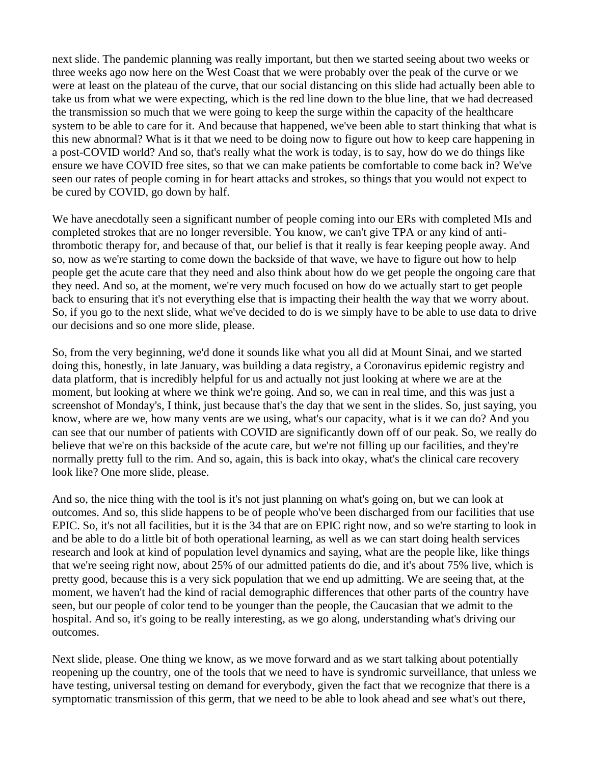next slide. The pandemic planning was really important, but then we started seeing about two weeks or three weeks ago now here on the West Coast that we were probably over the peak of the curve or we were at least on the plateau of the curve, that our social distancing on this slide had actually been able to take us from what we were expecting, which is the red line down to the blue line, that we had decreased the transmission so much that we were going to keep the surge within the capacity of the healthcare system to be able to care for it. And because that happened, we've been able to start thinking that what is this new abnormal? What is it that we need to be doing now to figure out how to keep care happening in a post-COVID world? And so, that's really what the work is today, is to say, how do we do things like ensure we have COVID free sites, so that we can make patients be comfortable to come back in? We've seen our rates of people coming in for heart attacks and strokes, so things that you would not expect to be cured by COVID, go down by half.

We have anecdotally seen a significant number of people coming into our ERs with completed MIs and completed strokes that are no longer reversible. You know, we can't give TPA or any kind of antithrombotic therapy for, and because of that, our belief is that it really is fear keeping people away. And so, now as we're starting to come down the backside of that wave, we have to figure out how to help people get the acute care that they need and also think about how do we get people the ongoing care that they need. And so, at the moment, we're very much focused on how do we actually start to get people back to ensuring that it's not everything else that is impacting their health the way that we worry about. So, if you go to the next slide, what we've decided to do is we simply have to be able to use data to drive our decisions and so one more slide, please.

So, from the very beginning, we'd done it sounds like what you all did at Mount Sinai, and we started doing this, honestly, in late January, was building a data registry, a Coronavirus epidemic registry and data platform, that is incredibly helpful for us and actually not just looking at where we are at the moment, but looking at where we think we're going. And so, we can in real time, and this was just a screenshot of Monday's, I think, just because that's the day that we sent in the slides. So, just saying, you know, where are we, how many vents are we using, what's our capacity, what is it we can do? And you can see that our number of patients with COVID are significantly down off of our peak. So, we really do believe that we're on this backside of the acute care, but we're not filling up our facilities, and they're normally pretty full to the rim. And so, again, this is back into okay, what's the clinical care recovery look like? One more slide, please.

And so, the nice thing with the tool is it's not just planning on what's going on, but we can look at outcomes. And so, this slide happens to be of people who've been discharged from our facilities that use EPIC. So, it's not all facilities, but it is the 34 that are on EPIC right now, and so we're starting to look in and be able to do a little bit of both operational learning, as well as we can start doing health services research and look at kind of population level dynamics and saying, what are the people like, like things that we're seeing right now, about 25% of our admitted patients do die, and it's about 75% live, which is pretty good, because this is a very sick population that we end up admitting. We are seeing that, at the moment, we haven't had the kind of racial demographic differences that other parts of the country have seen, but our people of color tend to be younger than the people, the Caucasian that we admit to the hospital. And so, it's going to be really interesting, as we go along, understanding what's driving our outcomes.

Next slide, please. One thing we know, as we move forward and as we start talking about potentially reopening up the country, one of the tools that we need to have is syndromic surveillance, that unless we have testing, universal testing on demand for everybody, given the fact that we recognize that there is a symptomatic transmission of this germ, that we need to be able to look ahead and see what's out there,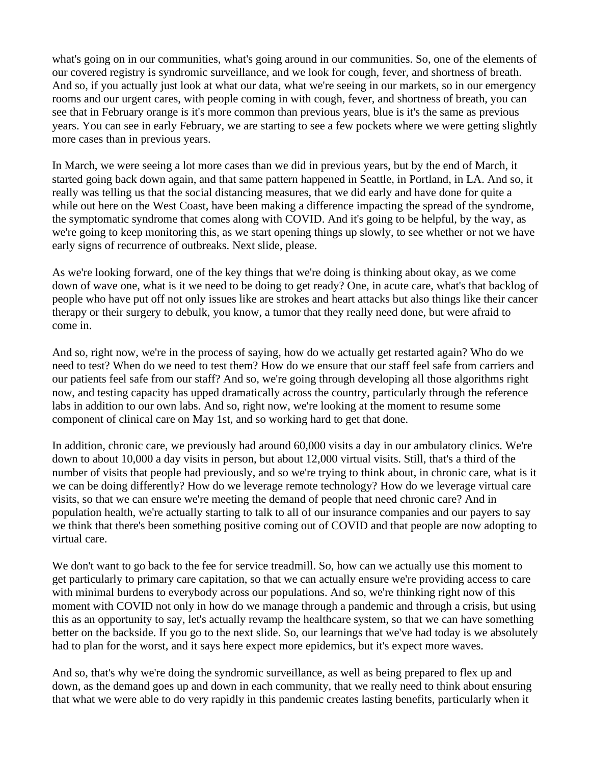what's going on in our communities, what's going around in our communities. So, one of the elements of our covered registry is syndromic surveillance, and we look for cough, fever, and shortness of breath. And so, if you actually just look at what our data, what we're seeing in our markets, so in our emergency rooms and our urgent cares, with people coming in with cough, fever, and shortness of breath, you can see that in February orange is it's more common than previous years, blue is it's the same as previous years. You can see in early February, we are starting to see a few pockets where we were getting slightly more cases than in previous years.

In March, we were seeing a lot more cases than we did in previous years, but by the end of March, it started going back down again, and that same pattern happened in Seattle, in Portland, in LA. And so, it really was telling us that the social distancing measures, that we did early and have done for quite a while out here on the West Coast, have been making a difference impacting the spread of the syndrome, the symptomatic syndrome that comes along with COVID. And it's going to be helpful, by the way, as we're going to keep monitoring this, as we start opening things up slowly, to see whether or not we have early signs of recurrence of outbreaks. Next slide, please.

As we're looking forward, one of the key things that we're doing is thinking about okay, as we come down of wave one, what is it we need to be doing to get ready? One, in acute care, what's that backlog of people who have put off not only issues like are strokes and heart attacks but also things like their cancer therapy or their surgery to debulk, you know, a tumor that they really need done, but were afraid to come in.

And so, right now, we're in the process of saying, how do we actually get restarted again? Who do we need to test? When do we need to test them? How do we ensure that our staff feel safe from carriers and our patients feel safe from our staff? And so, we're going through developing all those algorithms right now, and testing capacity has upped dramatically across the country, particularly through the reference labs in addition to our own labs. And so, right now, we're looking at the moment to resume some component of clinical care on May 1st, and so working hard to get that done.

In addition, chronic care, we previously had around 60,000 visits a day in our ambulatory clinics. We're down to about 10,000 a day visits in person, but about 12,000 virtual visits. Still, that's a third of the number of visits that people had previously, and so we're trying to think about, in chronic care, what is it we can be doing differently? How do we leverage remote technology? How do we leverage virtual care visits, so that we can ensure we're meeting the demand of people that need chronic care? And in population health, we're actually starting to talk to all of our insurance companies and our payers to say we think that there's been something positive coming out of COVID and that people are now adopting to virtual care.

We don't want to go back to the fee for service treadmill. So, how can we actually use this moment to get particularly to primary care capitation, so that we can actually ensure we're providing access to care with minimal burdens to everybody across our populations. And so, we're thinking right now of this moment with COVID not only in how do we manage through a pandemic and through a crisis, but using this as an opportunity to say, let's actually revamp the healthcare system, so that we can have something better on the backside. If you go to the next slide. So, our learnings that we've had today is we absolutely had to plan for the worst, and it says here expect more epidemics, but it's expect more waves.

And so, that's why we're doing the syndromic surveillance, as well as being prepared to flex up and down, as the demand goes up and down in each community, that we really need to think about ensuring that what we were able to do very rapidly in this pandemic creates lasting benefits, particularly when it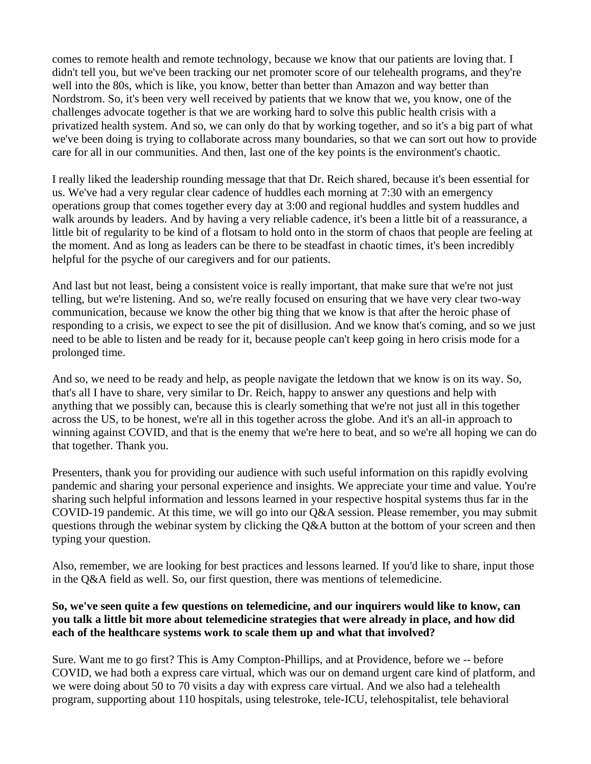comes to remote health and remote technology, because we know that our patients are loving that. I didn't tell you, but we've been tracking our net promoter score of our telehealth programs, and they're well into the 80s, which is like, you know, better than better than Amazon and way better than Nordstrom. So, it's been very well received by patients that we know that we, you know, one of the challenges advocate together is that we are working hard to solve this public health crisis with a privatized health system. And so, we can only do that by working together, and so it's a big part of what we've been doing is trying to collaborate across many boundaries, so that we can sort out how to provide care for all in our communities. And then, last one of the key points is the environment's chaotic.

I really liked the leadership rounding message that that Dr. Reich shared, because it's been essential for us. We've had a very regular clear cadence of huddles each morning at 7:30 with an emergency operations group that comes together every day at 3:00 and regional huddles and system huddles and walk arounds by leaders. And by having a very reliable cadence, it's been a little bit of a reassurance, a little bit of regularity to be kind of a flotsam to hold onto in the storm of chaos that people are feeling at the moment. And as long as leaders can be there to be steadfast in chaotic times, it's been incredibly helpful for the psyche of our caregivers and for our patients.

And last but not least, being a consistent voice is really important, that make sure that we're not just telling, but we're listening. And so, we're really focused on ensuring that we have very clear two-way communication, because we know the other big thing that we know is that after the heroic phase of responding to a crisis, we expect to see the pit of disillusion. And we know that's coming, and so we just need to be able to listen and be ready for it, because people can't keep going in hero crisis mode for a prolonged time.

And so, we need to be ready and help, as people navigate the letdown that we know is on its way. So, that's all I have to share, very similar to Dr. Reich, happy to answer any questions and help with anything that we possibly can, because this is clearly something that we're not just all in this together across the US, to be honest, we're all in this together across the globe. And it's an all-in approach to winning against COVID, and that is the enemy that we're here to beat, and so we're all hoping we can do that together. Thank you.

Presenters, thank you for providing our audience with such useful information on this rapidly evolving pandemic and sharing your personal experience and insights. We appreciate your time and value. You're sharing such helpful information and lessons learned in your respective hospital systems thus far in the COVID-19 pandemic. At this time, we will go into our Q&A session. Please remember, you may submit questions through the webinar system by clicking the Q&A button at the bottom of your screen and then typing your question.

Also, remember, we are looking for best practices and lessons learned. If you'd like to share, input those in the Q&A field as well. So, our first question, there was mentions of telemedicine.

## **So, we've seen quite a few questions on telemedicine, and our inquirers would like to know, can you talk a little bit more about telemedicine strategies that were already in place, and how did each of the healthcare systems work to scale them up and what that involved?**

Sure. Want me to go first? This is Amy Compton-Phillips, and at Providence, before we -- before COVID, we had both a express care virtual, which was our on demand urgent care kind of platform, and we were doing about 50 to 70 visits a day with express care virtual. And we also had a telehealth program, supporting about 110 hospitals, using telestroke, tele-ICU, telehospitalist, tele behavioral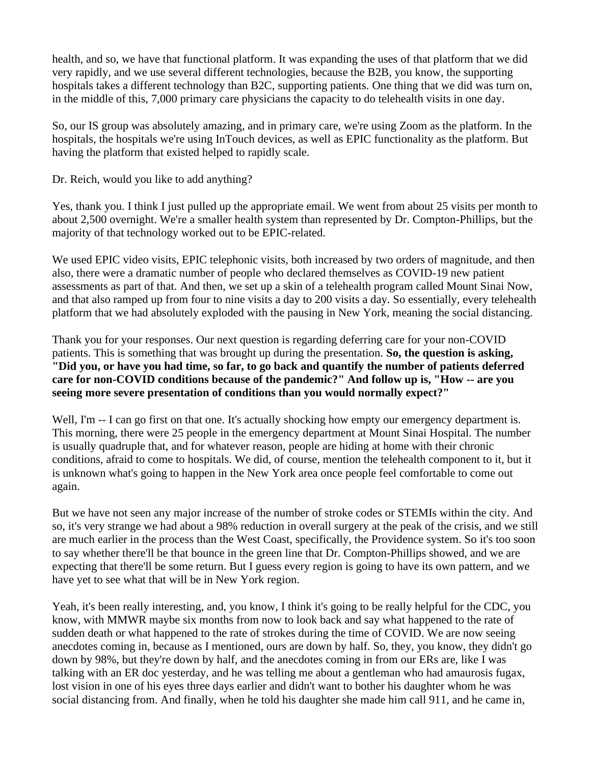health, and so, we have that functional platform. It was expanding the uses of that platform that we did very rapidly, and we use several different technologies, because the B2B, you know, the supporting hospitals takes a different technology than B2C, supporting patients. One thing that we did was turn on, in the middle of this, 7,000 primary care physicians the capacity to do telehealth visits in one day.

So, our IS group was absolutely amazing, and in primary care, we're using Zoom as the platform. In the hospitals, the hospitals we're using InTouch devices, as well as EPIC functionality as the platform. But having the platform that existed helped to rapidly scale.

Dr. Reich, would you like to add anything?

Yes, thank you. I think I just pulled up the appropriate email. We went from about 25 visits per month to about 2,500 overnight. We're a smaller health system than represented by Dr. Compton-Phillips, but the majority of that technology worked out to be EPIC-related.

We used EPIC video visits, EPIC telephonic visits, both increased by two orders of magnitude, and then also, there were a dramatic number of people who declared themselves as COVID-19 new patient assessments as part of that. And then, we set up a skin of a telehealth program called Mount Sinai Now, and that also ramped up from four to nine visits a day to 200 visits a day. So essentially, every telehealth platform that we had absolutely exploded with the pausing in New York, meaning the social distancing.

Thank you for your responses. Our next question is regarding deferring care for your non-COVID patients. This is something that was brought up during the presentation. **So, the question is asking, "Did you, or have you had time, so far, to go back and quantify the number of patients deferred care for non-COVID conditions because of the pandemic?" And follow up is, "How -- are you seeing more severe presentation of conditions than you would normally expect?"**

Well, I'm  $-$  I can go first on that one. It's actually shocking how empty our emergency department is. This morning, there were 25 people in the emergency department at Mount Sinai Hospital. The number is usually quadruple that, and for whatever reason, people are hiding at home with their chronic conditions, afraid to come to hospitals. We did, of course, mention the telehealth component to it, but it is unknown what's going to happen in the New York area once people feel comfortable to come out again.

But we have not seen any major increase of the number of stroke codes or STEMIs within the city. And so, it's very strange we had about a 98% reduction in overall surgery at the peak of the crisis, and we still are much earlier in the process than the West Coast, specifically, the Providence system. So it's too soon to say whether there'll be that bounce in the green line that Dr. Compton-Phillips showed, and we are expecting that there'll be some return. But I guess every region is going to have its own pattern, and we have yet to see what that will be in New York region.

Yeah, it's been really interesting, and, you know, I think it's going to be really helpful for the CDC, you know, with MMWR maybe six months from now to look back and say what happened to the rate of sudden death or what happened to the rate of strokes during the time of COVID. We are now seeing anecdotes coming in, because as I mentioned, ours are down by half. So, they, you know, they didn't go down by 98%, but they're down by half, and the anecdotes coming in from our ERs are, like I was talking with an ER doc yesterday, and he was telling me about a gentleman who had amaurosis fugax, lost vision in one of his eyes three days earlier and didn't want to bother his daughter whom he was social distancing from. And finally, when he told his daughter she made him call 911, and he came in,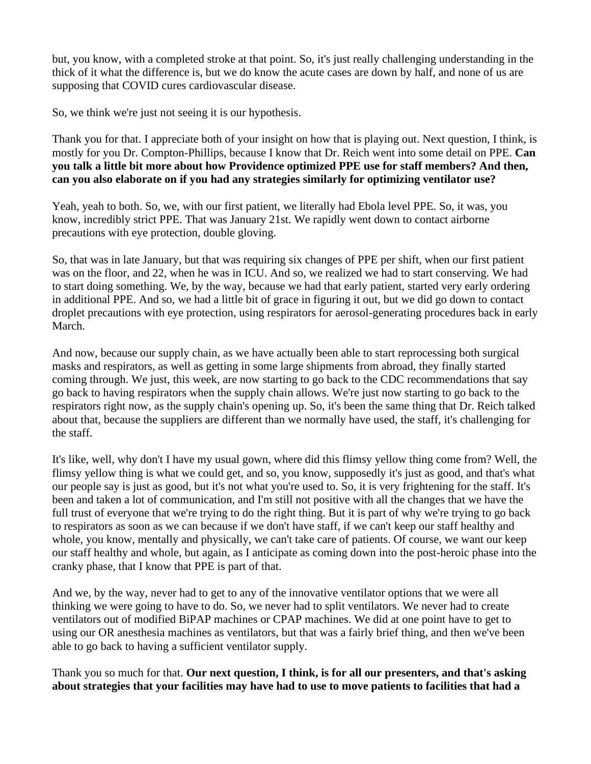but, you know, with a completed stroke at that point. So, it's just really challenging understanding in the thick of it what the difference is, but we do know the acute cases are down by half, and none of us are supposing that COVID cures cardiovascular disease.

So, we think we're just not seeing it is our hypothesis.

Thank you for that. I appreciate both of your insight on how that is playing out. Next question, I think, is mostly for you Dr. Compton-Phillips, because I know that Dr. Reich went into some detail on PPE. **Can you talk a little bit more about how Providence optimized PPE use for staff members? And then, can you also elaborate on if you had any strategies similarly for optimizing ventilator use?** 

Yeah, yeah to both. So, we, with our first patient, we literally had Ebola level PPE. So, it was, you know, incredibly strict PPE. That was January 21st. We rapidly went down to contact airborne precautions with eye protection, double gloving.

So, that was in late January, but that was requiring six changes of PPE per shift, when our first patient was on the floor, and 22, when he was in ICU. And so, we realized we had to start conserving. We had to start doing something. We, by the way, because we had that early patient, started very early ordering in additional PPE. And so, we had a little bit of grace in figuring it out, but we did go down to contact droplet precautions with eye protection, using respirators for aerosol-generating procedures back in early March.

And now, because our supply chain, as we have actually been able to start reprocessing both surgical masks and respirators, as well as getting in some large shipments from abroad, they finally started coming through. We just, this week, are now starting to go back to the CDC recommendations that say go back to having respirators when the supply chain allows. We're just now starting to go back to the respirators right now, as the supply chain's opening up. So, it's been the same thing that Dr. Reich talked about that, because the suppliers are different than we normally have used, the staff, it's challenging for the staff.

It's like, well, why don't I have my usual gown, where did this flimsy yellow thing come from? Well, the flimsy yellow thing is what we could get, and so, you know, supposedly it's just as good, and that's what our people say is just as good, but it's not what you're used to. So, it is very frightening for the staff. It's been and taken a lot of communication, and I'm still not positive with all the changes that we have the full trust of everyone that we're trying to do the right thing. But it is part of why we're trying to go back to respirators as soon as we can because if we don't have staff, if we can't keep our staff healthy and whole, you know, mentally and physically, we can't take care of patients. Of course, we want our keep our staff healthy and whole, but again, as I anticipate as coming down into the post-heroic phase into the cranky phase, that I know that PPE is part of that.

And we, by the way, never had to get to any of the innovative ventilator options that we were all thinking we were going to have to do. So, we never had to split ventilators. We never had to create ventilators out of modified BiPAP machines or CPAP machines. We did at one point have to get to using our OR anesthesia machines as ventilators, but that was a fairly brief thing, and then we've been able to go back to having a sufficient ventilator supply.

Thank you so much for that. **Our next question, I think, is for all our presenters, and that's asking about strategies that your facilities may have had to use to move patients to facilities that had a**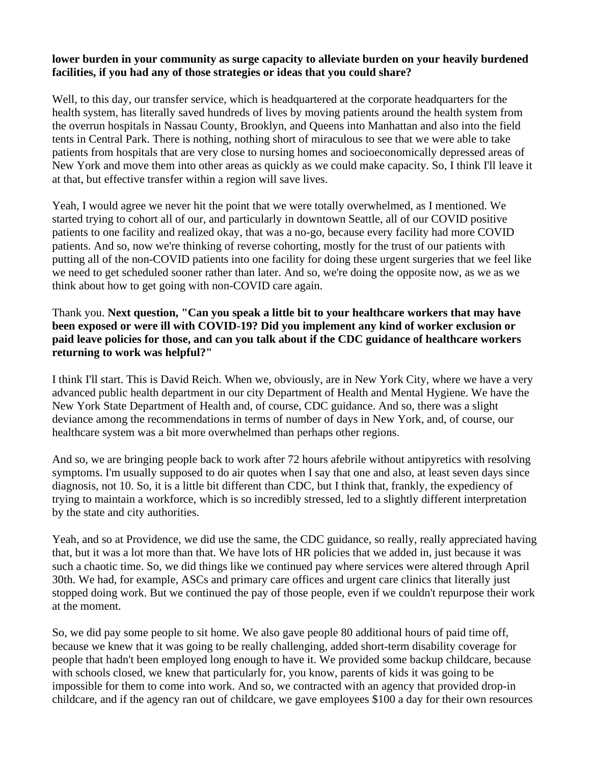## **lower burden in your community as surge capacity to alleviate burden on your heavily burdened facilities, if you had any of those strategies or ideas that you could share?**

Well, to this day, our transfer service, which is headquartered at the corporate headquarters for the health system, has literally saved hundreds of lives by moving patients around the health system from the overrun hospitals in Nassau County, Brooklyn, and Queens into Manhattan and also into the field tents in Central Park. There is nothing, nothing short of miraculous to see that we were able to take patients from hospitals that are very close to nursing homes and socioeconomically depressed areas of New York and move them into other areas as quickly as we could make capacity. So, I think I'll leave it at that, but effective transfer within a region will save lives.

Yeah, I would agree we never hit the point that we were totally overwhelmed, as I mentioned. We started trying to cohort all of our, and particularly in downtown Seattle, all of our COVID positive patients to one facility and realized okay, that was a no-go, because every facility had more COVID patients. And so, now we're thinking of reverse cohorting, mostly for the trust of our patients with putting all of the non-COVID patients into one facility for doing these urgent surgeries that we feel like we need to get scheduled sooner rather than later. And so, we're doing the opposite now, as we as we think about how to get going with non-COVID care again.

## Thank you. **Next question, "Can you speak a little bit to your healthcare workers that may have been exposed or were ill with COVID-19? Did you implement any kind of worker exclusion or paid leave policies for those, and can you talk about if the CDC guidance of healthcare workers returning to work was helpful?"**

I think I'll start. This is David Reich. When we, obviously, are in New York City, where we have a very advanced public health department in our city Department of Health and Mental Hygiene. We have the New York State Department of Health and, of course, CDC guidance. And so, there was a slight deviance among the recommendations in terms of number of days in New York, and, of course, our healthcare system was a bit more overwhelmed than perhaps other regions.

And so, we are bringing people back to work after 72 hours afebrile without antipyretics with resolving symptoms. I'm usually supposed to do air quotes when I say that one and also, at least seven days since diagnosis, not 10. So, it is a little bit different than CDC, but I think that, frankly, the expediency of trying to maintain a workforce, which is so incredibly stressed, led to a slightly different interpretation by the state and city authorities.

Yeah, and so at Providence, we did use the same, the CDC guidance, so really, really appreciated having that, but it was a lot more than that. We have lots of HR policies that we added in, just because it was such a chaotic time. So, we did things like we continued pay where services were altered through April 30th. We had, for example, ASCs and primary care offices and urgent care clinics that literally just stopped doing work. But we continued the pay of those people, even if we couldn't repurpose their work at the moment.

So, we did pay some people to sit home. We also gave people 80 additional hours of paid time off, because we knew that it was going to be really challenging, added short-term disability coverage for people that hadn't been employed long enough to have it. We provided some backup childcare, because with schools closed, we knew that particularly for, you know, parents of kids it was going to be impossible for them to come into work. And so, we contracted with an agency that provided drop-in childcare, and if the agency ran out of childcare, we gave employees \$100 a day for their own resources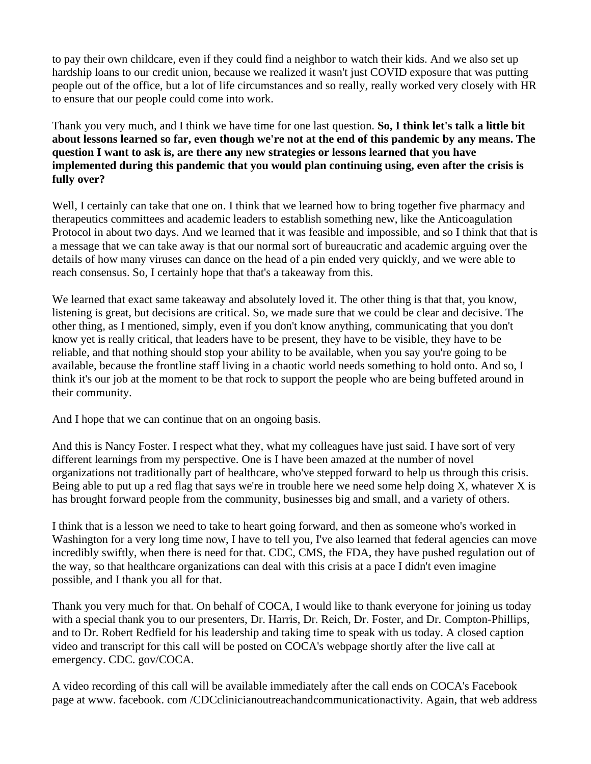to pay their own childcare, even if they could find a neighbor to watch their kids. And we also set up hardship loans to our credit union, because we realized it wasn't just COVID exposure that was putting people out of the office, but a lot of life circumstances and so really, really worked very closely with HR to ensure that our people could come into work.

Thank you very much, and I think we have time for one last question. **So, I think let's talk a little bit about lessons learned so far, even though we're not at the end of this pandemic by any means. The question I want to ask is, are there any new strategies or lessons learned that you have implemented during this pandemic that you would plan continuing using, even after the crisis is fully over?** 

Well, I certainly can take that one on. I think that we learned how to bring together five pharmacy and therapeutics committees and academic leaders to establish something new, like the Anticoagulation Protocol in about two days. And we learned that it was feasible and impossible, and so I think that that is a message that we can take away is that our normal sort of bureaucratic and academic arguing over the details of how many viruses can dance on the head of a pin ended very quickly, and we were able to reach consensus. So, I certainly hope that that's a takeaway from this.

We learned that exact same takeaway and absolutely loved it. The other thing is that that, you know, listening is great, but decisions are critical. So, we made sure that we could be clear and decisive. The other thing, as I mentioned, simply, even if you don't know anything, communicating that you don't know yet is really critical, that leaders have to be present, they have to be visible, they have to be reliable, and that nothing should stop your ability to be available, when you say you're going to be available, because the frontline staff living in a chaotic world needs something to hold onto. And so, I think it's our job at the moment to be that rock to support the people who are being buffeted around in their community.

And I hope that we can continue that on an ongoing basis.

And this is Nancy Foster. I respect what they, what my colleagues have just said. I have sort of very different learnings from my perspective. One is I have been amazed at the number of novel organizations not traditionally part of healthcare, who've stepped forward to help us through this crisis. Being able to put up a red flag that says we're in trouble here we need some help doing X, whatever X is has brought forward people from the community, businesses big and small, and a variety of others.

I think that is a lesson we need to take to heart going forward, and then as someone who's worked in Washington for a very long time now, I have to tell you, I've also learned that federal agencies can move incredibly swiftly, when there is need for that. CDC, CMS, the FDA, they have pushed regulation out of the way, so that healthcare organizations can deal with this crisis at a pace I didn't even imagine possible, and I thank you all for that.

Thank you very much for that. On behalf of COCA, I would like to thank everyone for joining us today with a special thank you to our presenters, Dr. Harris, Dr. Reich, Dr. Foster, and Dr. Compton-Phillips, and to Dr. Robert Redfield for his leadership and taking time to speak with us today. A closed caption video and transcript for this call will be posted on COCA's webpage shortly after the live call at emergency. CDC. gov/COCA.

A video recording of this call will be available immediately after the call ends on COCA's Facebook page at www. facebook. com /CDCclinicianoutreachandcommunicationactivity. Again, that web address